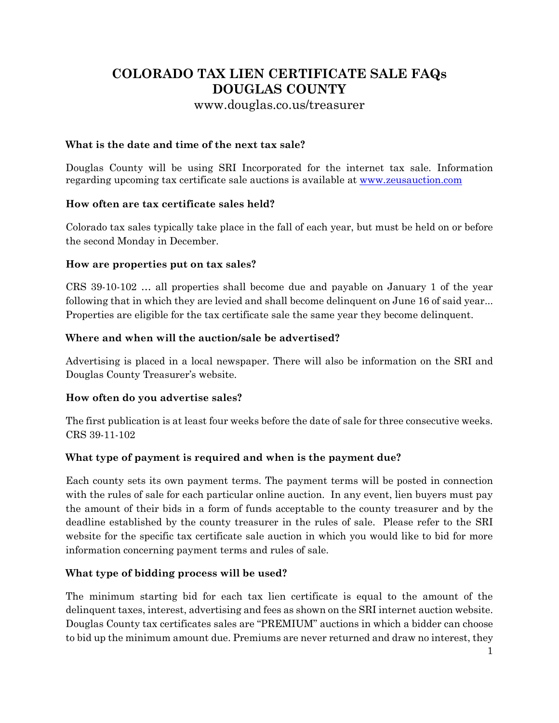# **COLORADO TAX LIEN CERTIFICATE SALE FAQs DOUGLAS COUNTY**

www.douglas.co.us/treasurer

### **What is the date and time of the next tax sale?**

Douglas County will be using SRI Incorporated for the internet tax sale. Information regarding upcoming tax certificate sale auctions is available at [www.zeusauction.com](http://www.zeusauction.com/)

### **How often are tax certificate sales held?**

Colorado tax sales typically take place in the fall of each year, but must be held on or before the second Monday in December.

### **How are properties put on tax sales?**

CRS 39-10-102 … all properties shall become due and payable on January 1 of the year following that in which they are levied and shall become delinquent on June 16 of said year... Properties are eligible for the tax certificate sale the same year they become delinquent.

### **Where and when will the auction/sale be advertised?**

Advertising is placed in a local newspaper. There will also be information on the SRI and Douglas County Treasurer's website.

### **How often do you advertise sales?**

The first publication is at least four weeks before the date of sale for three consecutive weeks. CRS 39-11-102

# **What type of payment is required and when is the payment due?**

Each county sets its own payment terms. The payment terms will be posted in connection with the rules of sale for each particular online auction. In any event, lien buyers must pay the amount of their bids in a form of funds acceptable to the county treasurer and by the deadline established by the county treasurer in the rules of sale. Please refer to the SRI website for the specific tax certificate sale auction in which you would like to bid for more information concerning payment terms and rules of sale.

### **What type of bidding process will be used?**

The minimum starting bid for each tax lien certificate is equal to the amount of the delinquent taxes, interest, advertising and fees as shown on the SRI internet auction website. Douglas County tax certificates sales are "PREMIUM" auctions in which a bidder can choose to bid up the minimum amount due. Premiums are never returned and draw no interest, they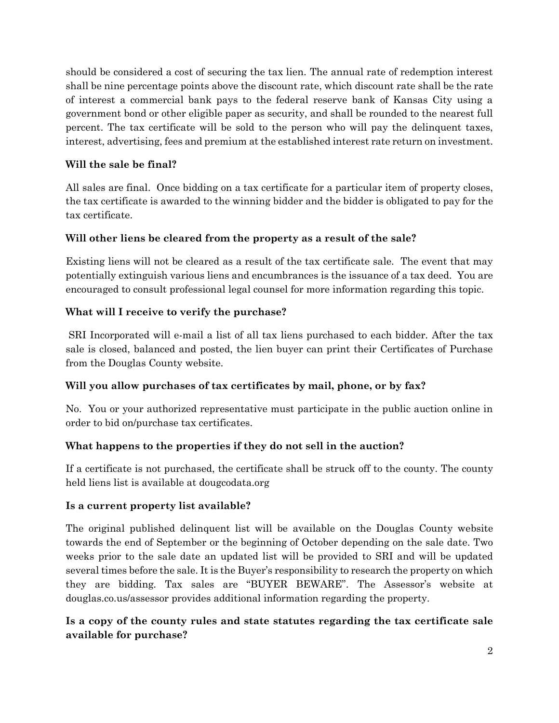should be considered a cost of securing the tax lien. The annual rate of redemption interest shall be nine percentage points above the discount rate, which discount rate shall be the rate of interest a commercial bank pays to the federal reserve bank of Kansas City using a government bond or other eligible paper as security, and shall be rounded to the nearest full percent. The tax certificate will be sold to the person who will pay the delinquent taxes, interest, advertising, fees and premium at the established interest rate return on investment.

### **Will the sale be final?**

All sales are final. Once bidding on a tax certificate for a particular item of property closes, the tax certificate is awarded to the winning bidder and the bidder is obligated to pay for the tax certificate.

# **Will other liens be cleared from the property as a result of the sale?**

Existing liens will not be cleared as a result of the tax certificate sale. The event that may potentially extinguish various liens and encumbrances is the issuance of a tax deed. You are encouraged to consult professional legal counsel for more information regarding this topic.

# **What will I receive to verify the purchase?**

SRI Incorporated will e-mail a list of all tax liens purchased to each bidder. After the tax sale is closed, balanced and posted, the lien buyer can print their Certificates of Purchase from the Douglas County website.

# **Will you allow purchases of tax certificates by mail, phone, or by fax?**

No. You or your authorized representative must participate in the public auction online in order to bid on/purchase tax certificates.

# **What happens to the properties if they do not sell in the auction?**

If a certificate is not purchased, the certificate shall be struck off to the county. The county held liens list is available at dougcodata.org

### **Is a current property list available?**

The original published delinquent list will be available on the Douglas County website towards the end of September or the beginning of October depending on the sale date. Two weeks prior to the sale date an updated list will be provided to SRI and will be updated several times before the sale. It is the Buyer's responsibility to research the property on which they are bidding. Tax sales are "BUYER BEWARE". The Assessor's website at douglas.co.us/assessor provides additional information regarding the property.

# **Is a copy of the county rules and state statutes regarding the tax certificate sale available for purchase?**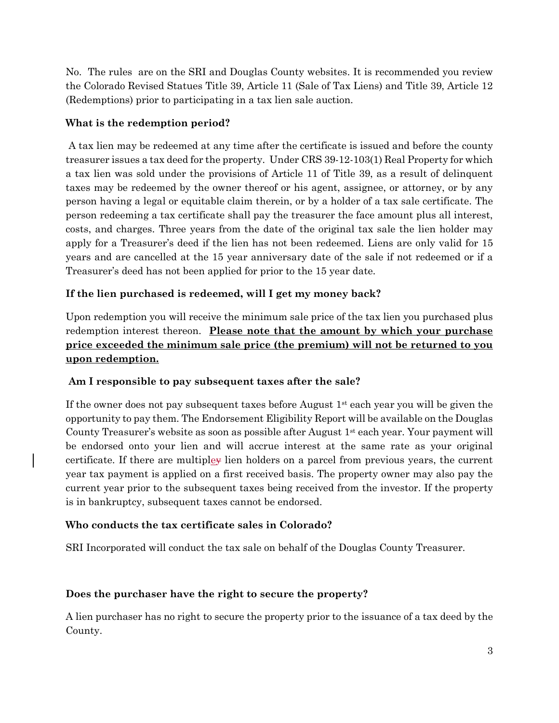No. The rules are on the SRI and Douglas County websites. It is recommended you review the Colorado Revised Statues Title 39, Article 11 (Sale of Tax Liens) and Title 39, Article 12 (Redemptions) prior to participating in a tax lien sale auction.

#### **What is the redemption period?**

A tax lien may be redeemed at any time after the certificate is issued and before the county treasurer issues a tax deed for the property. Under CRS 39-12-103(1) Real Property for which a tax lien was sold under the provisions of Article 11 of Title 39, as a result of delinquent taxes may be redeemed by the owner thereof or his agent, assignee, or attorney, or by any person having a legal or equitable claim therein, or by a holder of a tax sale certificate. The person redeeming a tax certificate shall pay the treasurer the face amount plus all interest, costs, and charges. Three years from the date of the original tax sale the lien holder may apply for a Treasurer's deed if the lien has not been redeemed. Liens are only valid for 15 years and are cancelled at the 15 year anniversary date of the sale if not redeemed or if a Treasurer's deed has not been applied for prior to the 15 year date.

### **If the lien purchased is redeemed, will I get my money back?**

Upon redemption you will receive the minimum sale price of the tax lien you purchased plus redemption interest thereon. **Please note that the amount by which your purchase price exceeded the minimum sale price (the premium) will not be returned to you upon redemption.**

#### **Am I responsible to pay subsequent taxes after the sale?**

If the owner does not pay subsequent taxes before August 1st each year you will be given the opportunity to pay them. The Endorsement Eligibility Report will be available on the Douglas County Treasurer's website as soon as possible after August 1st each year. Your payment will be endorsed onto your lien and will accrue interest at the same rate as your original certificate. If there are multipley lien holders on a parcel from previous years, the current year tax payment is applied on a first received basis. The property owner may also pay the current year prior to the subsequent taxes being received from the investor. If the property is in bankruptcy, subsequent taxes cannot be endorsed.

### **Who conducts the tax certificate sales in Colorado?**

SRI Incorporated will conduct the tax sale on behalf of the Douglas County Treasurer.

#### **Does the purchaser have the right to secure the property?**

A lien purchaser has no right to secure the property prior to the issuance of a tax deed by the County.